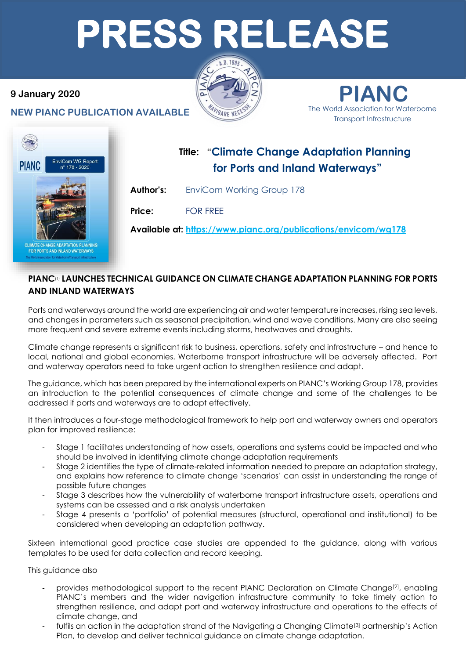# **PRESS RELEASE**

### **9 January 2020**

**NEW PIANC PUBLICATION AVAILABLE** 



**PIANC** The World Association for Waterborne Transport Infrastructure



FOR PORTS AND INLAND WATERWAYS

# **Title:** "**Climate Change Adaptation Planning for Ports and Inland Waterways"**

**Author's:** EnviCom Working Group 178

**Price:** FOR FREE

**Available at: https://www.pianc.org/publications/envicom/wg178**

## **PIANC**(1) **LAUNCHES TECHNICAL GUIDANCE ON CLIMATE CHANGE ADAPTATION PLANNING FOR PORTS AND INLAND WATERWAYS**

Ports and waterways around the world are experiencing air and water temperature increases, rising sea levels, and changes in parameters such as seasonal precipitation, wind and wave conditions. Many are also seeing more frequent and severe extreme events including storms, heatwaves and droughts.

Climate change represents a significant risk to business, operations, safety and infrastructure – and hence to local, national and global economies. Waterborne transport infrastructure will be adversely affected. Port and waterway operators need to take urgent action to strengthen resilience and adapt.

The guidance, which has been prepared by the international experts on PIANC's Working Group 178, provides an introduction to the potential consequences of climate change and some of the challenges to be addressed if ports and waterways are to adapt effectively.

It then introduces a four-stage methodological framework to help port and waterway owners and operators plan for improved resilience:

- Stage 1 facilitates understanding of how assets, operations and systems could be impacted and who should be involved in identifying climate change adaptation requirements
- Stage 2 identifies the type of climate-related information needed to prepare an adaptation strategy, and explains how reference to climate change 'scenarios' can assist in understanding the range of possible future changes
- Stage 3 describes how the vulnerability of waterborne transport infrastructure assets, operations and systems can be assessed and a risk analysis undertaken
- Stage 4 presents a 'portfolio' of potential measures (structural, operational and institutional) to be considered when developing an adaptation pathway.

Sixteen international good practice case studies are appended to the guidance, along with various templates to be used for data collection and record keeping.

This guidance also

- provides methodological support to the recent PIANC Declaration on Climate Change<sup>[2]</sup>, enabling PIANC's members and the wider navigation infrastructure community to take timely action to strengthen resilience, and adapt port and waterway infrastructure and operations to the effects of climate change, and
- fulfils an action in the adaptation strand of the Navigating a Changing Climate<sup>[3]</sup> partnership's Action Plan, to develop and deliver technical guidance on climate change adaptation.